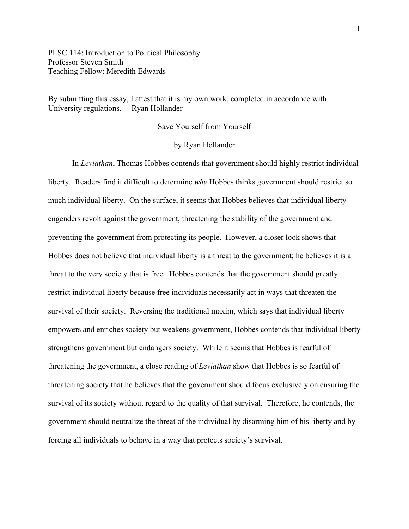PLSC 114: Introduction to Political Philosophy Professor Steven Smith Teaching Fellow: Meredith Edwards

By submitting this essay, I attest that it is my own work, completed in accordance with University regulations. —Ryan Hollander

## Save Yourself from Yourself

## by Ryan Hollander

In *Leviathan*, Thomas Hobbes contends that government should highly restrict individual liberty. Readers find it difficult to determine *why* Hobbes thinks government should restrict so much individual liberty. On the surface, it seems that Hobbes believes that individual liberty engenders revolt against the government, threatening the stability of the government and preventing the government from protecting its people. However, a closer look shows that Hobbes does not believe that individual liberty is a threat to the government; he believes it is a threat to the very society that is free. Hobbes contends that the government should greatly restrict individual liberty because free individuals necessarily act in ways that threaten the survival of their society. Reversing the traditional maxim, which says that individual liberty empowers and enriches society but weakens government, Hobbes contends that individual liberty strengthens government but endangers society. While it seems that Hobbes is fearful of threatening the government, a close reading of *Leviathan* show that Hobbes is so fearful of threatening society that he believes that the government should focus exclusively on ensuring the survival of its society without regard to the quality of that survival. Therefore, he contends, the government should neutralize the threat of the individual by disarming him of his liberty and by forcing all individuals to behave in a way that protects society's survival.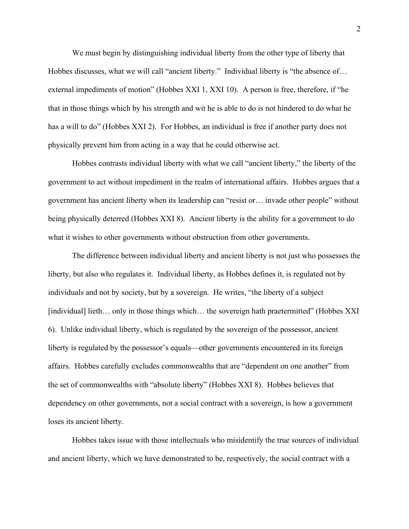We must begin by distinguishing individual liberty from the other type of liberty that Hobbes discusses, what we will call "ancient liberty." Individual liberty is "the absence of... external impediments of motion" (Hobbes XXI 1, XXI 10). A person is free, therefore, if "he that in those things which by his strength and wit he is able to do is not hindered to do what he has a will to do" (Hobbes XXI 2). For Hobbes, an individual is free if another party does not physically prevent him from acting in a way that he could otherwise act.

Hobbes contrasts individual liberty with what we call "ancient liberty," the liberty of the government to act without impediment in the realm of international affairs. Hobbes argues that a government has ancient liberty when its leadership can "resist or… invade other people" without being physically deterred (Hobbes XXI 8). Ancient liberty is the ability for a government to do what it wishes to other governments without obstruction from other governments.

The difference between individual liberty and ancient liberty is not just who possesses the liberty, but also who regulates it. Individual liberty, as Hobbes defines it, is regulated not by individuals and not by society, but by a sovereign. He writes, "the liberty of a subject [individual] lieth... only in those things which... the sovereign hath praetermitted" (Hobbes XXI) 6). Unlike individual liberty, which is regulated by the sovereign of the possessor, ancient liberty is regulated by the possessor's equals—other governments encountered in its foreign affairs. Hobbes carefully excludes commonwealths that are "dependent on one another" from the set of commonwealths with "absolute liberty" (Hobbes XXI 8). Hobbes believes that dependency on other governments, not a social contract with a sovereign, is how a government loses its ancient liberty.

Hobbes takes issue with those intellectuals who misidentify the true sources of individual and ancient liberty, which we have demonstrated to be, respectively, the social contract with a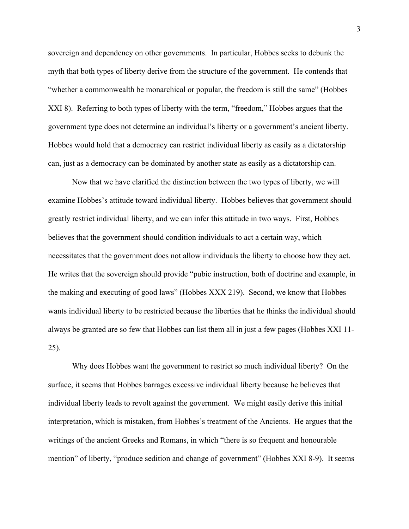sovereign and dependency on other governments. In particular, Hobbes seeks to debunk the myth that both types of liberty derive from the structure of the government. He contends that "whether a commonwealth be monarchical or popular, the freedom is still the same" (Hobbes XXI 8). Referring to both types of liberty with the term, "freedom," Hobbes argues that the government type does not determine an individual's liberty or a government's ancient liberty. Hobbes would hold that a democracy can restrict individual liberty as easily as a dictatorship can, just as a democracy can be dominated by another state as easily as a dictatorship can.

Now that we have clarified the distinction between the two types of liberty, we will examine Hobbes's attitude toward individual liberty. Hobbes believes that government should greatly restrict individual liberty, and we can infer this attitude in two ways. First, Hobbes believes that the government should condition individuals to act a certain way, which necessitates that the government does not allow individuals the liberty to choose how they act. He writes that the sovereign should provide "pubic instruction, both of doctrine and example, in the making and executing of good laws" (Hobbes XXX 219). Second, we know that Hobbes wants individual liberty to be restricted because the liberties that he thinks the individual should always be granted are so few that Hobbes can list them all in just a few pages (Hobbes XXI 11- 25).

Why does Hobbes want the government to restrict so much individual liberty? On the surface, it seems that Hobbes barrages excessive individual liberty because he believes that individual liberty leads to revolt against the government. We might easily derive this initial interpretation, which is mistaken, from Hobbes's treatment of the Ancients. He argues that the writings of the ancient Greeks and Romans, in which "there is so frequent and honourable mention" of liberty, "produce sedition and change of government" (Hobbes XXI 8-9). It seems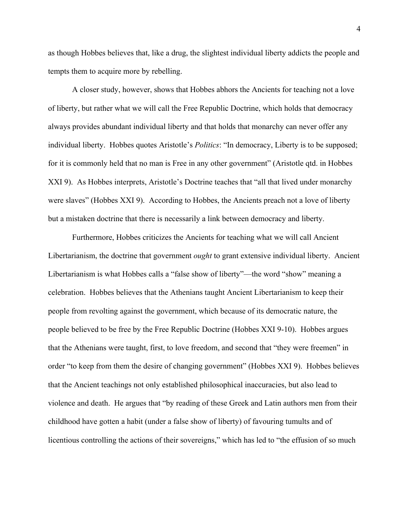as though Hobbes believes that, like a drug, the slightest individual liberty addicts the people and tempts them to acquire more by rebelling.

A closer study, however, shows that Hobbes abhors the Ancients for teaching not a love of liberty, but rather what we will call the Free Republic Doctrine, which holds that democracy always provides abundant individual liberty and that holds that monarchy can never offer any individual liberty. Hobbes quotes Aristotle's *Politics*: "In democracy, Liberty is to be supposed; for it is commonly held that no man is Free in any other government" (Aristotle qtd. in Hobbes XXI 9). As Hobbes interprets, Aristotle's Doctrine teaches that "all that lived under monarchy were slaves" (Hobbes XXI 9). According to Hobbes, the Ancients preach not a love of liberty but a mistaken doctrine that there is necessarily a link between democracy and liberty.

Furthermore, Hobbes criticizes the Ancients for teaching what we will call Ancient Libertarianism, the doctrine that government *ought* to grant extensive individual liberty. Ancient Libertarianism is what Hobbes calls a "false show of liberty"—the word "show" meaning a celebration. Hobbes believes that the Athenians taught Ancient Libertarianism to keep their people from revolting against the government, which because of its democratic nature, the people believed to be free by the Free Republic Doctrine (Hobbes XXI 9-10). Hobbes argues that the Athenians were taught, first, to love freedom, and second that "they were freemen" in order "to keep from them the desire of changing government" (Hobbes XXI 9). Hobbes believes that the Ancient teachings not only established philosophical inaccuracies, but also lead to violence and death. He argues that "by reading of these Greek and Latin authors men from their childhood have gotten a habit (under a false show of liberty) of favouring tumults and of licentious controlling the actions of their sovereigns," which has led to "the effusion of so much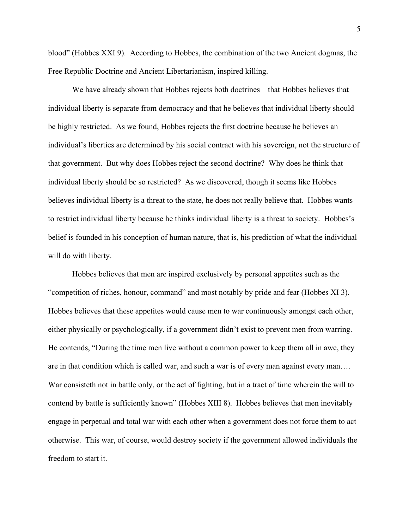blood" (Hobbes XXI 9). According to Hobbes, the combination of the two Ancient dogmas, the Free Republic Doctrine and Ancient Libertarianism, inspired killing.

We have already shown that Hobbes rejects both doctrines—that Hobbes believes that individual liberty is separate from democracy and that he believes that individual liberty should be highly restricted. As we found, Hobbes rejects the first doctrine because he believes an individual's liberties are determined by his social contract with his sovereign, not the structure of that government. But why does Hobbes reject the second doctrine? Why does he think that individual liberty should be so restricted? As we discovered, though it seems like Hobbes believes individual liberty is a threat to the state, he does not really believe that. Hobbes wants to restrict individual liberty because he thinks individual liberty is a threat to society. Hobbes's belief is founded in his conception of human nature, that is, his prediction of what the individual will do with liberty.

Hobbes believes that men are inspired exclusively by personal appetites such as the "competition of riches, honour, command" and most notably by pride and fear (Hobbes XI 3). Hobbes believes that these appetites would cause men to war continuously amongst each other, either physically or psychologically, if a government didn't exist to prevent men from warring. He contends, "During the time men live without a common power to keep them all in awe, they are in that condition which is called war, and such a war is of every man against every man…. War consisteth not in battle only, or the act of fighting, but in a tract of time wherein the will to contend by battle is sufficiently known" (Hobbes XIII 8). Hobbes believes that men inevitably engage in perpetual and total war with each other when a government does not force them to act otherwise. This war, of course, would destroy society if the government allowed individuals the freedom to start it.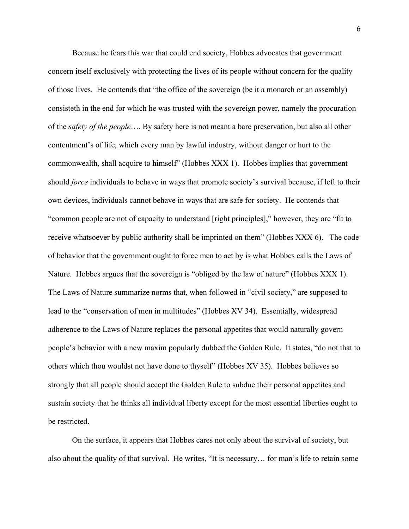Because he fears this war that could end society, Hobbes advocates that government concern itself exclusively with protecting the lives of its people without concern for the quality of those lives. He contends that "the office of the sovereign (be it a monarch or an assembly) consisteth in the end for which he was trusted with the sovereign power, namely the procuration of the *safety of the people*…. By safety here is not meant a bare preservation, but also all other contentment's of life, which every man by lawful industry, without danger or hurt to the commonwealth, shall acquire to himself" (Hobbes XXX 1). Hobbes implies that government should *force* individuals to behave in ways that promote society's survival because, if left to their own devices, individuals cannot behave in ways that are safe for society. He contends that "common people are not of capacity to understand [right principles]," however, they are "fit to receive whatsoever by public authority shall be imprinted on them" (Hobbes XXX 6). The code of behavior that the government ought to force men to act by is what Hobbes calls the Laws of Nature. Hobbes argues that the sovereign is "obliged by the law of nature" (Hobbes XXX 1). The Laws of Nature summarize norms that, when followed in "civil society," are supposed to lead to the "conservation of men in multitudes" (Hobbes XV 34). Essentially, widespread adherence to the Laws of Nature replaces the personal appetites that would naturally govern people's behavior with a new maxim popularly dubbed the Golden Rule. It states, "do not that to others which thou wouldst not have done to thyself" (Hobbes XV 35). Hobbes believes so strongly that all people should accept the Golden Rule to subdue their personal appetites and sustain society that he thinks all individual liberty except for the most essential liberties ought to be restricted.

On the surface, it appears that Hobbes cares not only about the survival of society, but also about the quality of that survival. He writes, "It is necessary… for man's life to retain some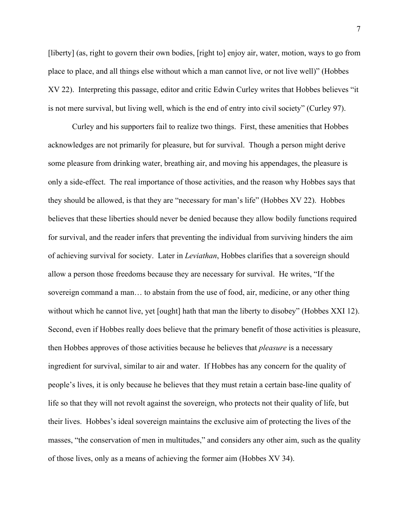[liberty] (as, right to govern their own bodies, [right to] enjoy air, water, motion, ways to go from place to place, and all things else without which a man cannot live, or not live well)" (Hobbes XV 22). Interpreting this passage, editor and critic Edwin Curley writes that Hobbes believes "it is not mere survival, but living well, which is the end of entry into civil society" (Curley 97).

Curley and his supporters fail to realize two things. First, these amenities that Hobbes acknowledges are not primarily for pleasure, but for survival. Though a person might derive some pleasure from drinking water, breathing air, and moving his appendages, the pleasure is only a side-effect. The real importance of those activities, and the reason why Hobbes says that they should be allowed, is that they are "necessary for man's life" (Hobbes XV 22). Hobbes believes that these liberties should never be denied because they allow bodily functions required for survival, and the reader infers that preventing the individual from surviving hinders the aim of achieving survival for society. Later in *Leviathan*, Hobbes clarifies that a sovereign should allow a person those freedoms because they are necessary for survival. He writes, "If the sovereign command a man… to abstain from the use of food, air, medicine, or any other thing without which he cannot live, yet [ought] hath that man the liberty to disobey" (Hobbes XXI 12). Second, even if Hobbes really does believe that the primary benefit of those activities is pleasure, then Hobbes approves of those activities because he believes that *pleasure* is a necessary ingredient for survival, similar to air and water. If Hobbes has any concern for the quality of people's lives, it is only because he believes that they must retain a certain base-line quality of life so that they will not revolt against the sovereign, who protects not their quality of life, but their lives. Hobbes's ideal sovereign maintains the exclusive aim of protecting the lives of the masses, "the conservation of men in multitudes," and considers any other aim, such as the quality of those lives, only as a means of achieving the former aim (Hobbes XV 34).